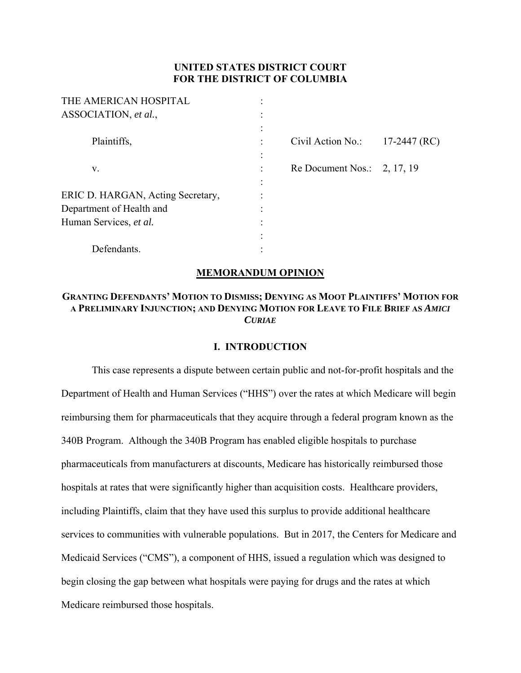# **UNITED STATES DISTRICT COURT FOR THE DISTRICT OF COLUMBIA**

| THE AMERICAN HOSPITAL             |                   |                |
|-----------------------------------|-------------------|----------------|
| ASSOCIATION, et al.,              |                   |                |
|                                   |                   |                |
| Plaintiffs,                       | Civil Action No.: | $17-2447$ (RC) |
|                                   |                   |                |
| V.                                | Re Document Nos.: | 2, 17, 19      |
|                                   |                   |                |
| ERIC D. HARGAN, Acting Secretary, |                   |                |
| Department of Health and          |                   |                |
| Human Services, et al.            |                   |                |
|                                   |                   |                |
| Defendants.                       |                   |                |

# **MEMORANDUM OPINION**

# **GRANTING DEFENDANTS' MOTION TO DISMISS; DENYING AS MOOT PLAINTIFFS' MOTION FOR A PRELIMINARY INJUNCTION; AND DENYING MOTION FOR LEAVE TO FILE BRIEF AS** *AMICI CURIAE*

## **I. INTRODUCTION**

This case represents a dispute between certain public and not-for-profit hospitals and the Department of Health and Human Services ("HHS") over the rates at which Medicare will begin reimbursing them for pharmaceuticals that they acquire through a federal program known as the 340B Program. Although the 340B Program has enabled eligible hospitals to purchase pharmaceuticals from manufacturers at discounts, Medicare has historically reimbursed those hospitals at rates that were significantly higher than acquisition costs. Healthcare providers, including Plaintiffs, claim that they have used this surplus to provide additional healthcare services to communities with vulnerable populations. But in 2017, the Centers for Medicare and Medicaid Services ("CMS"), a component of HHS, issued a regulation which was designed to begin closing the gap between what hospitals were paying for drugs and the rates at which Medicare reimbursed those hospitals.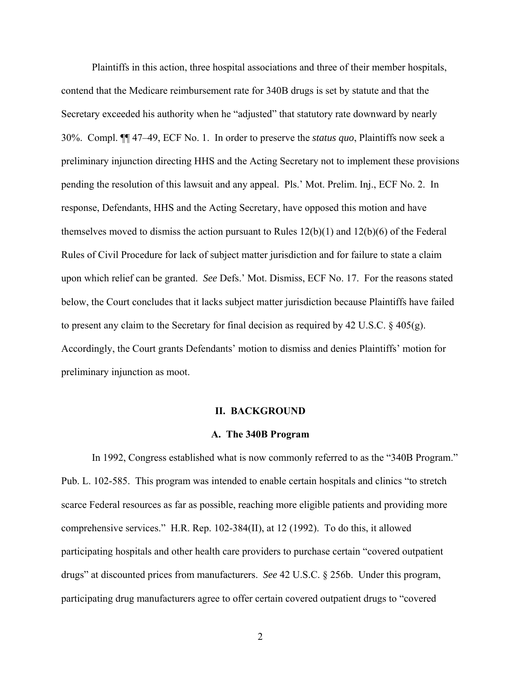Plaintiffs in this action, three hospital associations and three of their member hospitals, contend that the Medicare reimbursement rate for 340B drugs is set by statute and that the Secretary exceeded his authority when he "adjusted" that statutory rate downward by nearly 30%. Compl. ¶¶ 47–49, ECF No. 1. In order to preserve the *status quo*, Plaintiffs now seek a preliminary injunction directing HHS and the Acting Secretary not to implement these provisions pending the resolution of this lawsuit and any appeal. Pls.' Mot. Prelim. Inj., ECF No. 2. In response, Defendants, HHS and the Acting Secretary, have opposed this motion and have themselves moved to dismiss the action pursuant to Rules 12(b)(1) and 12(b)(6) of the Federal Rules of Civil Procedure for lack of subject matter jurisdiction and for failure to state a claim upon which relief can be granted. *See* Defs.' Mot. Dismiss, ECF No. 17. For the reasons stated below, the Court concludes that it lacks subject matter jurisdiction because Plaintiffs have failed to present any claim to the Secretary for final decision as required by 42 U.S.C.  $\S$  405(g). Accordingly, the Court grants Defendants' motion to dismiss and denies Plaintiffs' motion for preliminary injunction as moot.

#### **II. BACKGROUND**

#### **A. The 340B Program**

In 1992, Congress established what is now commonly referred to as the "340B Program." Pub. L. 102-585. This program was intended to enable certain hospitals and clinics "to stretch scarce Federal resources as far as possible, reaching more eligible patients and providing more comprehensive services." H.R. Rep. 102-384(II), at 12 (1992). To do this, it allowed participating hospitals and other health care providers to purchase certain "covered outpatient drugs" at discounted prices from manufacturers. *See* 42 U.S.C. § 256b. Under this program, participating drug manufacturers agree to offer certain covered outpatient drugs to "covered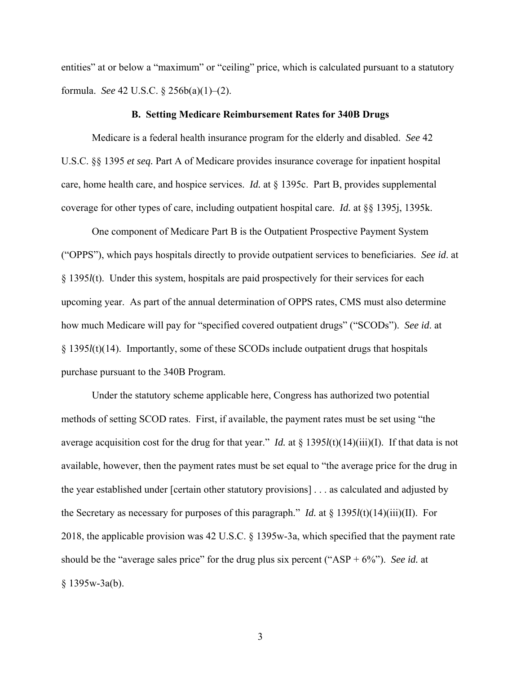entities" at or below a "maximum" or "ceiling" price, which is calculated pursuant to a statutory formula. *See* 42 U.S.C. § 256b(a)(1)–(2).

#### **B. Setting Medicare Reimbursement Rates for 340B Drugs**

Medicare is a federal health insurance program for the elderly and disabled. *See* 42 U.S.C. §§ 1395 *et seq.* Part A of Medicare provides insurance coverage for inpatient hospital care, home health care, and hospice services. *Id.* at § 1395c. Part B, provides supplemental coverage for other types of care, including outpatient hospital care. *Id.* at §§ 1395j, 1395k.

One component of Medicare Part B is the Outpatient Prospective Payment System ("OPPS"), which pays hospitals directly to provide outpatient services to beneficiaries. *See id*. at § 1395*l*(t). Under this system, hospitals are paid prospectively for their services for each upcoming year. As part of the annual determination of OPPS rates, CMS must also determine how much Medicare will pay for "specified covered outpatient drugs" ("SCODs"). *See id*. at § 1395*l*(t)(14). Importantly, some of these SCODs include outpatient drugs that hospitals purchase pursuant to the 340B Program.

Under the statutory scheme applicable here, Congress has authorized two potential methods of setting SCOD rates. First, if available, the payment rates must be set using "the average acquisition cost for the drug for that year." *Id.* at § 1395*l*(t)(14)(iii)(I). If that data is not available, however, then the payment rates must be set equal to "the average price for the drug in the year established under [certain other statutory provisions] . . . as calculated and adjusted by the Secretary as necessary for purposes of this paragraph." *Id.* at  $\S$  1395*l*(t)(14)(iii)(II). For 2018, the applicable provision was 42 U.S.C. § 1395w-3a, which specified that the payment rate should be the "average sales price" for the drug plus six percent ("ASP + 6%"). *See id.* at  $§ 1395w-3a(b).$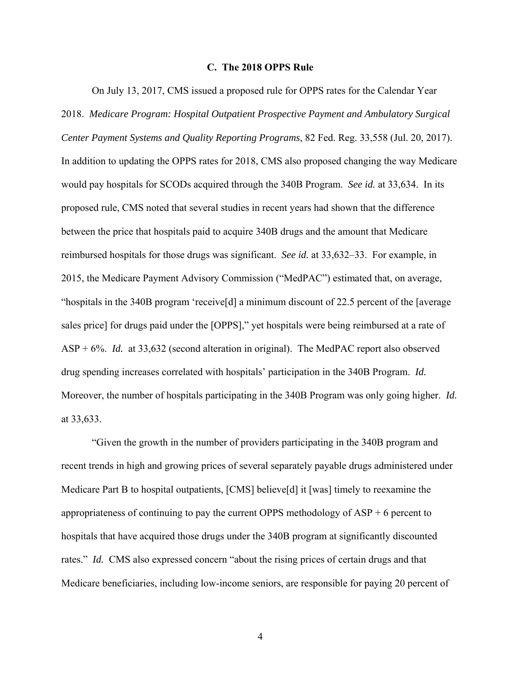### **C. The 2018 OPPS Rule**

On July 13, 2017, CMS issued a proposed rule for OPPS rates for the Calendar Year 2018. *Medicare Program: Hospital Outpatient Prospective Payment and Ambulatory Surgical Center Payment Systems and Quality Reporting Programs*, 82 Fed. Reg. 33,558 (Jul. 20, 2017). In addition to updating the OPPS rates for 2018, CMS also proposed changing the way Medicare would pay hospitals for SCODs acquired through the 340B Program. *See id.* at 33,634. In its proposed rule, CMS noted that several studies in recent years had shown that the difference between the price that hospitals paid to acquire 340B drugs and the amount that Medicare reimbursed hospitals for those drugs was significant. *See id.* at 33,632–33. For example, in 2015, the Medicare Payment Advisory Commission ("MedPAC") estimated that, on average, "hospitals in the 340B program 'receive[d] a minimum discount of 22.5 percent of the [average sales price] for drugs paid under the [OPPS]," yet hospitals were being reimbursed at a rate of ASP + 6%. *Id.* at 33,632 (second alteration in original). The MedPAC report also observed drug spending increases correlated with hospitals' participation in the 340B Program. *Id.* Moreover, the number of hospitals participating in the 340B Program was only going higher. *Id.*  at 33,633.

"Given the growth in the number of providers participating in the 340B program and recent trends in high and growing prices of several separately payable drugs administered under Medicare Part B to hospital outpatients, [CMS] believe[d] it [was] timely to reexamine the appropriateness of continuing to pay the current OPPS methodology of ASP + 6 percent to hospitals that have acquired those drugs under the 340B program at significantly discounted rates." *Id.* CMS also expressed concern "about the rising prices of certain drugs and that Medicare beneficiaries, including low-income seniors, are responsible for paying 20 percent of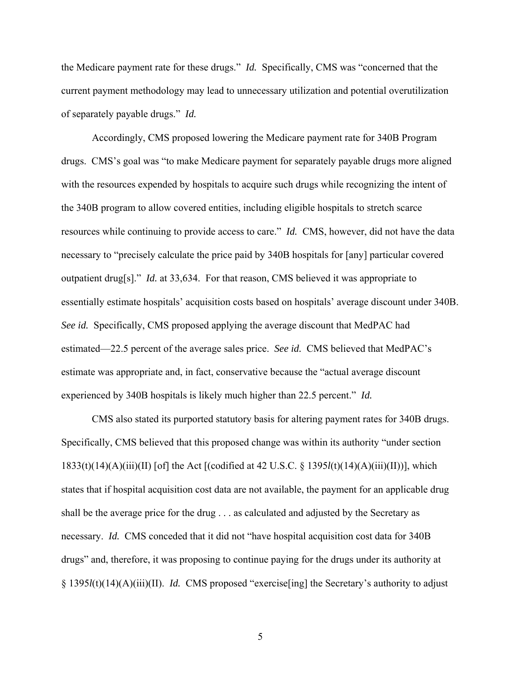the Medicare payment rate for these drugs." *Id.* Specifically, CMS was "concerned that the current payment methodology may lead to unnecessary utilization and potential overutilization of separately payable drugs." *Id.*

Accordingly, CMS proposed lowering the Medicare payment rate for 340B Program drugs. CMS's goal was "to make Medicare payment for separately payable drugs more aligned with the resources expended by hospitals to acquire such drugs while recognizing the intent of the 340B program to allow covered entities, including eligible hospitals to stretch scarce resources while continuing to provide access to care." *Id.* CMS, however, did not have the data necessary to "precisely calculate the price paid by 340B hospitals for [any] particular covered outpatient drug[s]." *Id.* at 33,634. For that reason, CMS believed it was appropriate to essentially estimate hospitals' acquisition costs based on hospitals' average discount under 340B. *See id.* Specifically, CMS proposed applying the average discount that MedPAC had estimated—22.5 percent of the average sales price. *See id.* CMS believed that MedPAC's estimate was appropriate and, in fact, conservative because the "actual average discount experienced by 340B hospitals is likely much higher than 22.5 percent." *Id.* 

CMS also stated its purported statutory basis for altering payment rates for 340B drugs. Specifically, CMS believed that this proposed change was within its authority "under section 1833(t)(14)(A)(iii)(II) [of] the Act [(codified at 42 U.S.C. § 1395*l*(t)(14)(A)(iii)(II))], which states that if hospital acquisition cost data are not available, the payment for an applicable drug shall be the average price for the drug . . . as calculated and adjusted by the Secretary as necessary. *Id.* CMS conceded that it did not "have hospital acquisition cost data for 340B drugs" and, therefore, it was proposing to continue paying for the drugs under its authority at § 1395*l*(t)(14)(A)(iii)(II). *Id.* CMS proposed "exercise[ing] the Secretary's authority to adjust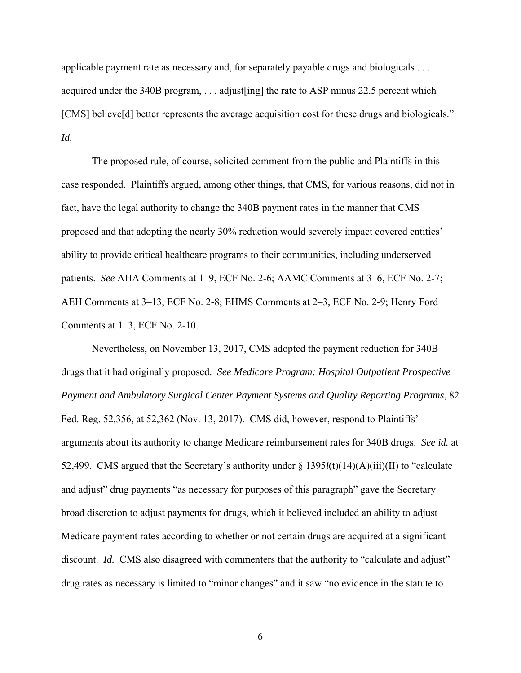applicable payment rate as necessary and, for separately payable drugs and biologicals . . . acquired under the 340B program, . . . adjust[ing] the rate to ASP minus 22.5 percent which [CMS] believe[d] better represents the average acquisition cost for these drugs and biologicals." *Id.*

The proposed rule, of course, solicited comment from the public and Plaintiffs in this case responded. Plaintiffs argued, among other things, that CMS, for various reasons, did not in fact, have the legal authority to change the 340B payment rates in the manner that CMS proposed and that adopting the nearly 30% reduction would severely impact covered entities' ability to provide critical healthcare programs to their communities, including underserved patients. *See* AHA Comments at 1–9, ECF No. 2-6; AAMC Comments at 3–6, ECF No. 2-7; AEH Comments at 3–13, ECF No. 2-8; EHMS Comments at 2–3, ECF No. 2-9; Henry Ford Comments at 1–3, ECF No. 2-10.

Nevertheless, on November 13, 2017, CMS adopted the payment reduction for 340B drugs that it had originally proposed. *See Medicare Program: Hospital Outpatient Prospective Payment and Ambulatory Surgical Center Payment Systems and Quality Reporting Programs*, 82 Fed. Reg. 52,356, at 52,362 (Nov. 13, 2017). CMS did, however, respond to Plaintiffs' arguments about its authority to change Medicare reimbursement rates for 340B drugs. *See id.* at 52,499. CMS argued that the Secretary's authority under § 1395*l*(t)(14)(A)(iii)(II) to "calculate and adjust" drug payments "as necessary for purposes of this paragraph" gave the Secretary broad discretion to adjust payments for drugs, which it believed included an ability to adjust Medicare payment rates according to whether or not certain drugs are acquired at a significant discount. *Id.* CMS also disagreed with commenters that the authority to "calculate and adjust" drug rates as necessary is limited to "minor changes" and it saw "no evidence in the statute to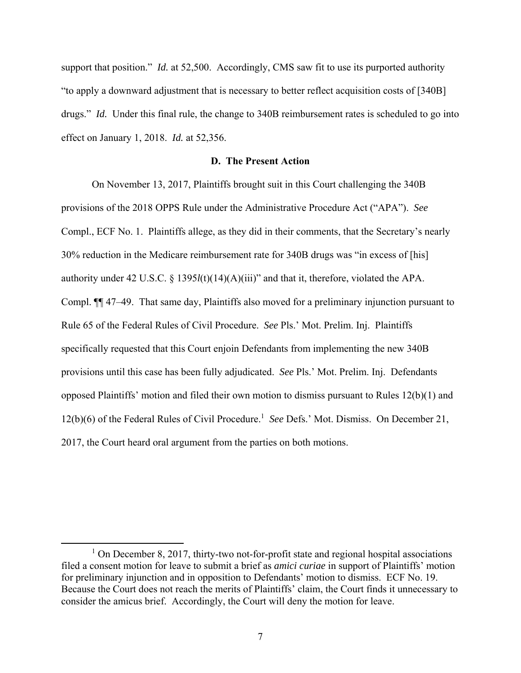support that position." *Id.* at 52,500. Accordingly, CMS saw fit to use its purported authority "to apply a downward adjustment that is necessary to better reflect acquisition costs of [340B] drugs." *Id.* Under this final rule, the change to 340B reimbursement rates is scheduled to go into effect on January 1, 2018. *Id.* at 52,356.

## **D. The Present Action**

On November 13, 2017, Plaintiffs brought suit in this Court challenging the 340B provisions of the 2018 OPPS Rule under the Administrative Procedure Act ("APA"). *See*  Compl., ECF No. 1. Plaintiffs allege, as they did in their comments, that the Secretary's nearly 30% reduction in the Medicare reimbursement rate for 340B drugs was "in excess of [his] authority under 42 U.S.C. § 1395*l*(t)(14)(A)(iii)" and that it, therefore, violated the APA. Compl. ¶¶ 47–49. That same day, Plaintiffs also moved for a preliminary injunction pursuant to Rule 65 of the Federal Rules of Civil Procedure. *See* Pls.' Mot. Prelim. Inj. Plaintiffs specifically requested that this Court enjoin Defendants from implementing the new 340B provisions until this case has been fully adjudicated. *See* Pls.' Mot. Prelim. Inj. Defendants opposed Plaintiffs' motion and filed their own motion to dismiss pursuant to Rules 12(b)(1) and 12(b)(6) of the Federal Rules of Civil Procedure.<sup>1</sup> See Defs.' Mot. Dismiss. On December 21, 2017, the Court heard oral argument from the parties on both motions.

 $\overline{1}$  $1$  On December 8, 2017, thirty-two not-for-profit state and regional hospital associations filed a consent motion for leave to submit a brief as *amici curiae* in support of Plaintiffs' motion for preliminary injunction and in opposition to Defendants' motion to dismiss. ECF No. 19. Because the Court does not reach the merits of Plaintiffs' claim, the Court finds it unnecessary to consider the amicus brief. Accordingly, the Court will deny the motion for leave.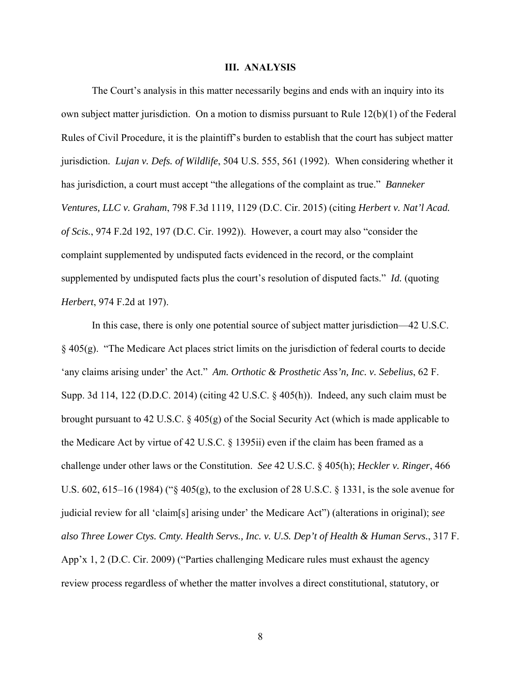### **III. ANALYSIS**

The Court's analysis in this matter necessarily begins and ends with an inquiry into its own subject matter jurisdiction. On a motion to dismiss pursuant to Rule 12(b)(1) of the Federal Rules of Civil Procedure, it is the plaintiff's burden to establish that the court has subject matter jurisdiction. *Lujan v. Defs. of Wildlife*, 504 U.S. 555, 561 (1992). When considering whether it has jurisdiction, a court must accept "the allegations of the complaint as true." *Banneker Ventures, LLC v. Graham*, 798 F.3d 1119, 1129 (D.C. Cir. 2015) (citing *Herbert v. Nat'l Acad. of Scis.*, 974 F.2d 192, 197 (D.C. Cir. 1992)). However, a court may also "consider the complaint supplemented by undisputed facts evidenced in the record, or the complaint supplemented by undisputed facts plus the court's resolution of disputed facts." *Id.* (quoting *Herbert*, 974 F.2d at 197).

In this case, there is only one potential source of subject matter jurisdiction—42 U.S.C. § 405(g). "The Medicare Act places strict limits on the jurisdiction of federal courts to decide 'any claims arising under' the Act." *Am. Orthotic & Prosthetic Ass'n, Inc. v. Sebelius*, 62 F. Supp. 3d 114, 122 (D.D.C. 2014) (citing 42 U.S.C. § 405(h)). Indeed, any such claim must be brought pursuant to 42 U.S.C. § 405(g) of the Social Security Act (which is made applicable to the Medicare Act by virtue of 42 U.S.C. § 1395ii) even if the claim has been framed as a challenge under other laws or the Constitution. *See* 42 U.S.C. § 405(h); *Heckler v. Ringer*, 466 U.S. 602, 615–16 (1984) ("§ 405(g), to the exclusion of 28 U.S.C. § 1331, is the sole avenue for judicial review for all 'claim[s] arising under' the Medicare Act") (alterations in original); *see also Three Lower Ctys. Cmty. Health Servs., Inc. v. U.S. Dep't of Health & Human Servs.*, 317 F. App'x 1, 2 (D.C. Cir. 2009) ("Parties challenging Medicare rules must exhaust the agency review process regardless of whether the matter involves a direct constitutional, statutory, or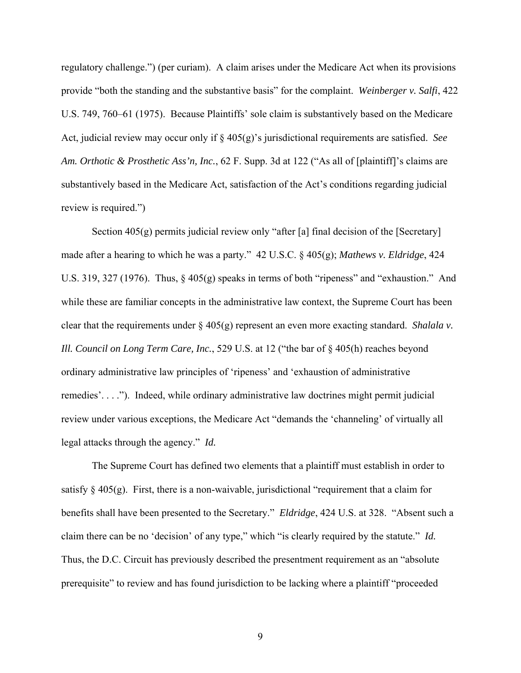regulatory challenge.") (per curiam). A claim arises under the Medicare Act when its provisions provide "both the standing and the substantive basis" for the complaint. *Weinberger v. Salfi*, 422 U.S. 749, 760–61 (1975). Because Plaintiffs' sole claim is substantively based on the Medicare Act, judicial review may occur only if § 405(g)'s jurisdictional requirements are satisfied. *See Am. Orthotic & Prosthetic Ass'n, Inc.*, 62 F. Supp. 3d at 122 ("As all of [plaintiff]'s claims are substantively based in the Medicare Act, satisfaction of the Act's conditions regarding judicial review is required.")

Section 405(g) permits judicial review only "after [a] final decision of the [Secretary] made after a hearing to which he was a party." 42 U.S.C. § 405(g); *Mathews v. Eldridge*, 424 U.S. 319, 327 (1976). Thus, § 405(g) speaks in terms of both "ripeness" and "exhaustion." And while these are familiar concepts in the administrative law context, the Supreme Court has been clear that the requirements under § 405(g) represent an even more exacting standard. *Shalala v. Ill. Council on Long Term Care, Inc.*, 529 U.S. at 12 ("the bar of § 405(h) reaches beyond ordinary administrative law principles of 'ripeness' and 'exhaustion of administrative remedies'. . . ."). Indeed, while ordinary administrative law doctrines might permit judicial review under various exceptions, the Medicare Act "demands the 'channeling' of virtually all legal attacks through the agency." *Id.*

The Supreme Court has defined two elements that a plaintiff must establish in order to satisfy  $\S 405(g)$ . First, there is a non-waivable, jurisdictional "requirement that a claim for benefits shall have been presented to the Secretary." *Eldridge*, 424 U.S. at 328. "Absent such a claim there can be no 'decision' of any type," which "is clearly required by the statute." *Id.* Thus, the D.C. Circuit has previously described the presentment requirement as an "absolute prerequisite" to review and has found jurisdiction to be lacking where a plaintiff "proceeded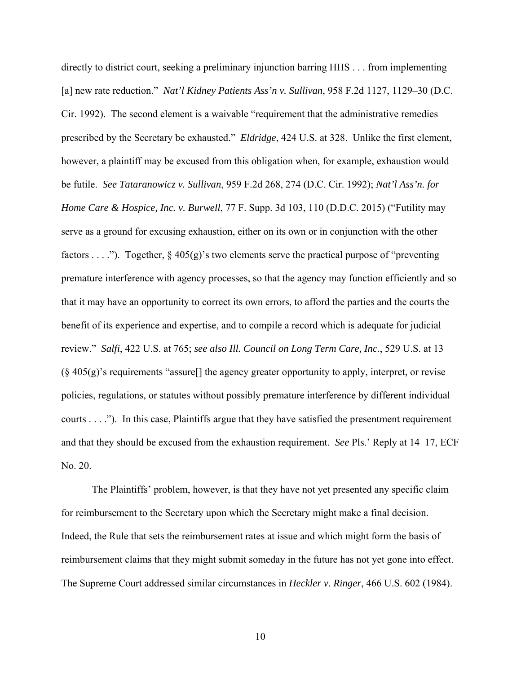directly to district court, seeking a preliminary injunction barring HHS . . . from implementing [a] new rate reduction." *Nat'l Kidney Patients Ass'n v. Sullivan*, 958 F.2d 1127, 1129–30 (D.C. Cir. 1992). The second element is a waivable "requirement that the administrative remedies prescribed by the Secretary be exhausted." *Eldridge*, 424 U.S. at 328. Unlike the first element, however, a plaintiff may be excused from this obligation when, for example, exhaustion would be futile. *See Tataranowicz v. Sullivan*, 959 F.2d 268, 274 (D.C. Cir. 1992); *Nat'l Ass'n. for Home Care & Hospice, Inc. v. Burwell*, 77 F. Supp. 3d 103, 110 (D.D.C. 2015) ("Futility may serve as a ground for excusing exhaustion, either on its own or in conjunction with the other factors . . . ."). Together,  $\S$  405(g)'s two elements serve the practical purpose of "preventing" premature interference with agency processes, so that the agency may function efficiently and so that it may have an opportunity to correct its own errors, to afford the parties and the courts the benefit of its experience and expertise, and to compile a record which is adequate for judicial review." *Salfi*, 422 U.S. at 765; *see also Ill. Council on Long Term Care, Inc.*, 529 U.S. at 13  $(\S 405(g)$ 's requirements "assure<sup>[]</sup> the agency greater opportunity to apply, interpret, or revise policies, regulations, or statutes without possibly premature interference by different individual courts . . . ."). In this case, Plaintiffs argue that they have satisfied the presentment requirement and that they should be excused from the exhaustion requirement. *See* Pls.' Reply at 14–17, ECF No. 20.

The Plaintiffs' problem, however, is that they have not yet presented any specific claim for reimbursement to the Secretary upon which the Secretary might make a final decision. Indeed, the Rule that sets the reimbursement rates at issue and which might form the basis of reimbursement claims that they might submit someday in the future has not yet gone into effect. The Supreme Court addressed similar circumstances in *Heckler v. Ringer*, 466 U.S. 602 (1984).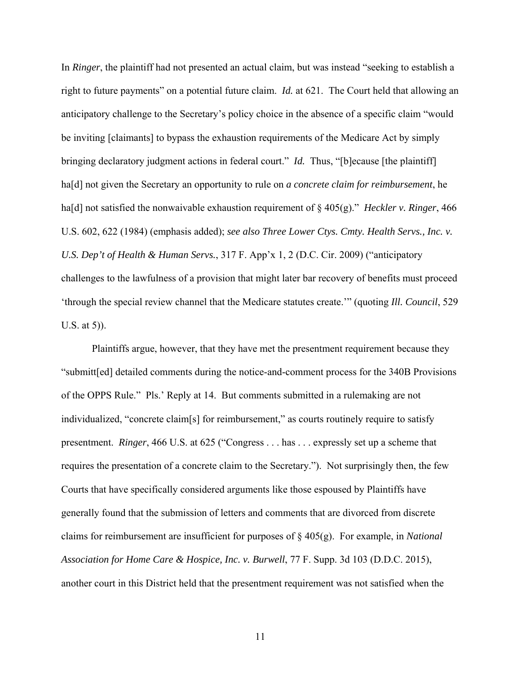In *Ringer*, the plaintiff had not presented an actual claim, but was instead "seeking to establish a right to future payments" on a potential future claim. *Id.* at 621. The Court held that allowing an anticipatory challenge to the Secretary's policy choice in the absence of a specific claim "would be inviting [claimants] to bypass the exhaustion requirements of the Medicare Act by simply bringing declaratory judgment actions in federal court." *Id.* Thus, "[b]ecause [the plaintiff] ha[d] not given the Secretary an opportunity to rule on *a concrete claim for reimbursement*, he ha[d] not satisfied the nonwaivable exhaustion requirement of § 405(g)." *Heckler v. Ringer*, 466 U.S. 602, 622 (1984) (emphasis added); *see also Three Lower Ctys. Cmty. Health Servs., Inc. v. U.S. Dep't of Health & Human Servs.*, 317 F. App'x 1, 2 (D.C. Cir. 2009) ("anticipatory challenges to the lawfulness of a provision that might later bar recovery of benefits must proceed 'through the special review channel that the Medicare statutes create.'" (quoting *Ill. Council*, 529 U.S. at 5)).

Plaintiffs argue, however, that they have met the presentment requirement because they "submitt[ed] detailed comments during the notice-and-comment process for the 340B Provisions of the OPPS Rule." Pls.' Reply at 14. But comments submitted in a rulemaking are not individualized, "concrete claim[s] for reimbursement," as courts routinely require to satisfy presentment. *Ringer*, 466 U.S. at 625 ("Congress . . . has . . . expressly set up a scheme that requires the presentation of a concrete claim to the Secretary."). Not surprisingly then, the few Courts that have specifically considered arguments like those espoused by Plaintiffs have generally found that the submission of letters and comments that are divorced from discrete claims for reimbursement are insufficient for purposes of § 405(g). For example, in *National Association for Home Care & Hospice, Inc. v. Burwell*, 77 F. Supp. 3d 103 (D.D.C. 2015), another court in this District held that the presentment requirement was not satisfied when the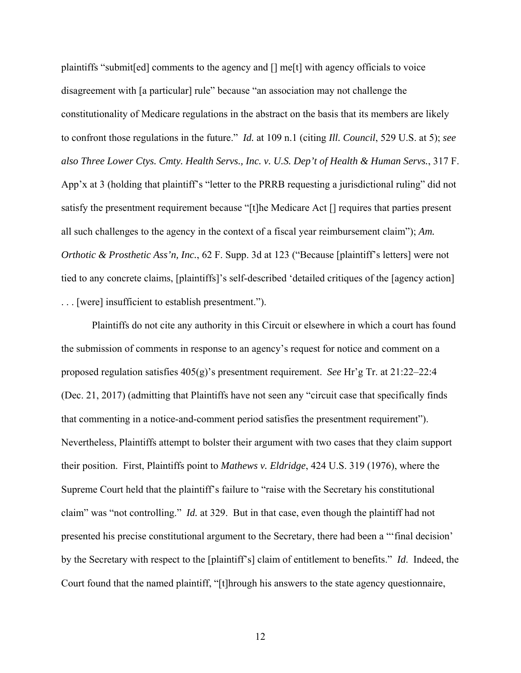plaintiffs "submit[ed] comments to the agency and [] me[t] with agency officials to voice disagreement with [a particular] rule" because "an association may not challenge the constitutionality of Medicare regulations in the abstract on the basis that its members are likely to confront those regulations in the future." *Id.* at 109 n.1 (citing *Ill. Council*, 529 U.S. at 5); *see also Three Lower Ctys. Cmty. Health Servs., Inc. v. U.S. Dep't of Health & Human Servs.*, 317 F. App'x at 3 (holding that plaintiff's "letter to the PRRB requesting a jurisdictional ruling" did not satisfy the presentment requirement because "[t]he Medicare Act [] requires that parties present all such challenges to the agency in the context of a fiscal year reimbursement claim"); *Am. Orthotic & Prosthetic Ass'n, Inc.*, 62 F. Supp. 3d at 123 ("Because [plaintiff's letters] were not tied to any concrete claims, [plaintiffs]'s self-described 'detailed critiques of the [agency action] . . . [were] insufficient to establish presentment.").

Plaintiffs do not cite any authority in this Circuit or elsewhere in which a court has found the submission of comments in response to an agency's request for notice and comment on a proposed regulation satisfies 405(g)'s presentment requirement. *See* Hr'g Tr. at 21:22–22:4 (Dec. 21, 2017) (admitting that Plaintiffs have not seen any "circuit case that specifically finds that commenting in a notice-and-comment period satisfies the presentment requirement"). Nevertheless, Plaintiffs attempt to bolster their argument with two cases that they claim support their position. First, Plaintiffs point to *Mathews v. Eldridge*, 424 U.S. 319 (1976), where the Supreme Court held that the plaintiff's failure to "raise with the Secretary his constitutional claim" was "not controlling." *Id.* at 329. But in that case, even though the plaintiff had not presented his precise constitutional argument to the Secretary, there had been a "'final decision' by the Secretary with respect to the [plaintiff's] claim of entitlement to benefits." *Id*. Indeed, the Court found that the named plaintiff, "[t]hrough his answers to the state agency questionnaire,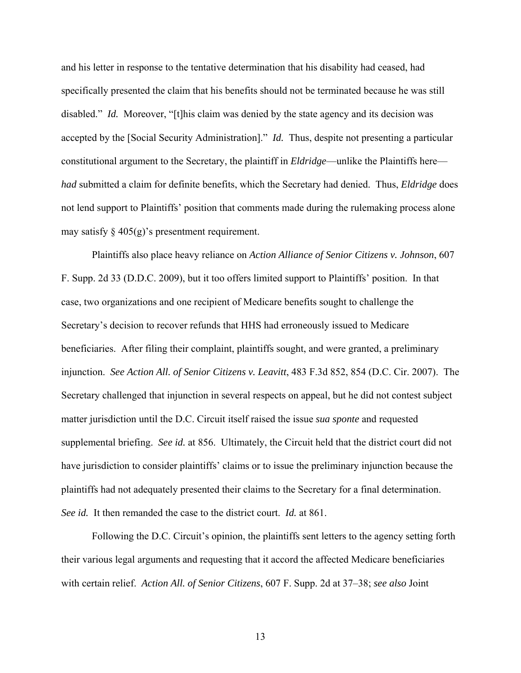and his letter in response to the tentative determination that his disability had ceased, had specifically presented the claim that his benefits should not be terminated because he was still disabled." *Id.* Moreover, "[t]his claim was denied by the state agency and its decision was accepted by the [Social Security Administration]." *Id.* Thus, despite not presenting a particular constitutional argument to the Secretary, the plaintiff in *Eldridge*—unlike the Plaintiffs here *had* submitted a claim for definite benefits, which the Secretary had denied. Thus, *Eldridge* does not lend support to Plaintiffs' position that comments made during the rulemaking process alone may satisfy  $\S$  405(g)'s presentment requirement.

Plaintiffs also place heavy reliance on *Action Alliance of Senior Citizens v. Johnson*, 607 F. Supp. 2d 33 (D.D.C. 2009), but it too offers limited support to Plaintiffs' position. In that case, two organizations and one recipient of Medicare benefits sought to challenge the Secretary's decision to recover refunds that HHS had erroneously issued to Medicare beneficiaries. After filing their complaint, plaintiffs sought, and were granted, a preliminary injunction. *See Action All. of Senior Citizens v. Leavitt*, 483 F.3d 852, 854 (D.C. Cir. 2007). The Secretary challenged that injunction in several respects on appeal, but he did not contest subject matter jurisdiction until the D.C. Circuit itself raised the issue *sua sponte* and requested supplemental briefing. *See id.* at 856. Ultimately, the Circuit held that the district court did not have jurisdiction to consider plaintiffs' claims or to issue the preliminary injunction because the plaintiffs had not adequately presented their claims to the Secretary for a final determination. *See id.* It then remanded the case to the district court. *Id.* at 861.

Following the D.C. Circuit's opinion, the plaintiffs sent letters to the agency setting forth their various legal arguments and requesting that it accord the affected Medicare beneficiaries with certain relief. *Action All. of Senior Citizens*, 607 F. Supp. 2d at 37–38; *see also* Joint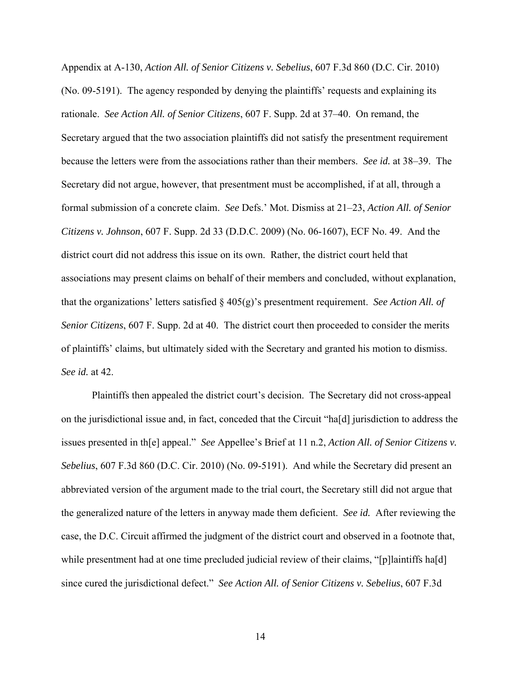Appendix at A-130, *Action All. of Senior Citizens v. Sebelius*, 607 F.3d 860 (D.C. Cir. 2010) (No. 09-5191). The agency responded by denying the plaintiffs' requests and explaining its rationale. *See Action All. of Senior Citizens*, 607 F. Supp. 2d at 37–40. On remand, the Secretary argued that the two association plaintiffs did not satisfy the presentment requirement because the letters were from the associations rather than their members. *See id.* at 38–39. The Secretary did not argue, however, that presentment must be accomplished, if at all, through a formal submission of a concrete claim. *See* Defs.' Mot. Dismiss at 21–23, *Action All. of Senior Citizens v. Johnson*, 607 F. Supp. 2d 33 (D.D.C. 2009) (No. 06-1607), ECF No. 49.And the district court did not address this issue on its own. Rather, the district court held that associations may present claims on behalf of their members and concluded, without explanation, that the organizations' letters satisfied § 405(g)'s presentment requirement. *See Action All. of Senior Citizens*, 607 F. Supp. 2d at 40. The district court then proceeded to consider the merits of plaintiffs' claims, but ultimately sided with the Secretary and granted his motion to dismiss. *See id.* at 42.

Plaintiffs then appealed the district court's decision. The Secretary did not cross-appeal on the jurisdictional issue and, in fact, conceded that the Circuit "ha[d] jurisdiction to address the issues presented in th[e] appeal." *See* Appellee's Brief at 11 n.2, *Action All. of Senior Citizens v. Sebelius*, 607 F.3d 860 (D.C. Cir. 2010) (No. 09-5191). And while the Secretary did present an abbreviated version of the argument made to the trial court, the Secretary still did not argue that the generalized nature of the letters in anyway made them deficient. *See id.* After reviewing the case, the D.C. Circuit affirmed the judgment of the district court and observed in a footnote that, while presentment had at one time precluded judicial review of their claims, "[p]laintiffs ha[d] since cured the jurisdictional defect." *See Action All. of Senior Citizens v. Sebelius*, 607 F.3d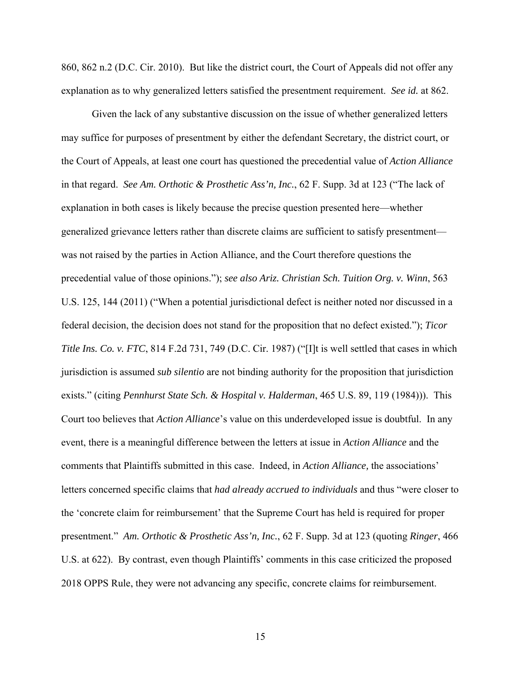860, 862 n.2 (D.C. Cir. 2010). But like the district court, the Court of Appeals did not offer any explanation as to why generalized letters satisfied the presentment requirement. *See id.* at 862.

Given the lack of any substantive discussion on the issue of whether generalized letters may suffice for purposes of presentment by either the defendant Secretary, the district court, or the Court of Appeals, at least one court has questioned the precedential value of *Action Alliance*  in that regard. *See Am. Orthotic & Prosthetic Ass'n, Inc.*, 62 F. Supp. 3d at 123 ("The lack of explanation in both cases is likely because the precise question presented here—whether generalized grievance letters rather than discrete claims are sufficient to satisfy presentment was not raised by the parties in Action Alliance, and the Court therefore questions the precedential value of those opinions."); *see also Ariz. Christian Sch. Tuition Org. v. Winn*, 563 U.S. 125, 144 (2011) ("When a potential jurisdictional defect is neither noted nor discussed in a federal decision, the decision does not stand for the proposition that no defect existed."); *Ticor Title Ins. Co. v. FTC*, 814 F.2d 731, 749 (D.C. Cir. 1987) ("[I]t is well settled that cases in which jurisdiction is assumed *sub silentio* are not binding authority for the proposition that jurisdiction exists." (citing *Pennhurst State Sch. & Hospital v. Halderman*, 465 U.S. 89, 119 (1984))). This Court too believes that *Action Alliance*'s value on this underdeveloped issue is doubtful. In any event, there is a meaningful difference between the letters at issue in *Action Alliance* and the comments that Plaintiffs submitted in this case. Indeed, in *Action Alliance,* the associations' letters concerned specific claims that *had already accrued to individuals* and thus "were closer to the 'concrete claim for reimbursement' that the Supreme Court has held is required for proper presentment." *Am. Orthotic & Prosthetic Ass'n, Inc.*, 62 F. Supp. 3d at 123 (quoting *Ringer*, 466 U.S. at 622). By contrast, even though Plaintiffs' comments in this case criticized the proposed 2018 OPPS Rule, they were not advancing any specific, concrete claims for reimbursement.